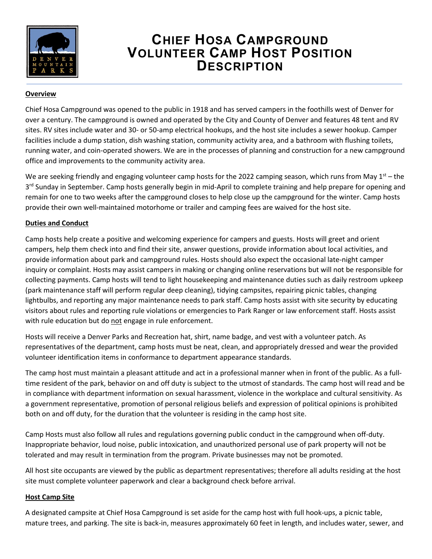

# **CHIEF HOSA CAMPGROUND VOLUNTEER CAMP HOST POSITION DESCRIPTION**

#### **Overview**

Chief Hosa Campground was opened to the public in 1918 and has served campers in the foothills west of Denver for over a century. The campground is owned and operated by the City and County of Denver and features 48 tent and RV sites. RV sites include water and 30- or 50-amp electrical hookups, and the host site includes a sewer hookup. Camper facilities include a dump station, dish washing station, community activity area, and a bathroom with flushing toilets, running water, and coin-operated showers. We are in the processes of planning and construction for a new campground office and improvements to the community activity area.

We are seeking friendly and engaging volunteer camp hosts for the 2022 camping season, which runs from May  $1<sup>st</sup>$  – the 3<sup>rd</sup> Sunday in September. Camp hosts generally begin in mid-April to complete training and help prepare for opening and remain for one to two weeks after the campground closes to help close up the campground for the winter. Camp hosts provide their own well-maintained motorhome or trailer and camping fees are waived for the host site.

## **Duties and Conduct**

Camp hosts help create a positive and welcoming experience for campers and guests. Hosts will greet and orient campers, help them check into and find their site, answer questions, provide information about local activities, and provide information about park and campground rules. Hosts should also expect the occasional late-night camper inquiry or complaint. Hosts may assist campers in making or changing online reservations but will not be responsible for collecting payments. Camp hosts will tend to light housekeeping and maintenance duties such as daily restroom upkeep (park maintenance staff will perform regular deep cleaning), tidying campsites, repairing picnic tables, changing lightbulbs, and reporting any major maintenance needs to park staff. Camp hosts assist with site security by educating visitors about rules and reporting rule violations or emergencies to Park Ranger or law enforcement staff. Hosts assist with rule education but do not engage in rule enforcement.

Hosts will receive a Denver Parks and Recreation hat, shirt, name badge, and vest with a volunteer patch. As representatives of the department, camp hosts must be neat, clean, and appropriately dressed and wear the provided volunteer identification items in conformance to department appearance standards.

The camp host must maintain a pleasant attitude and act in a professional manner when in front of the public. As a fulltime resident of the park, behavior on and off duty is subject to the utmost of standards. The camp host will read and be in compliance with department information on sexual harassment, violence in the workplace and cultural sensitivity. As a government representative, promotion of personal religious beliefs and expression of political opinions is prohibited both on and off duty, for the duration that the volunteer is residing in the camp host site.

Camp Hosts must also follow all rules and regulations governing public conduct in the campground when off-duty. Inappropriate behavior, loud noise, public intoxication, and unauthorized personal use of park property will not be tolerated and may result in termination from the program. Private businesses may not be promoted.

All host site occupants are viewed by the public as department representatives; therefore all adults residing at the host site must complete volunteer paperwork and clear a background check before arrival.

#### **Host Camp Site**

A designated campsite at Chief Hosa Campground is set aside for the camp host with full hook-ups, a picnic table, mature trees, and parking. The site is back-in, measures approximately 60 feet in length, and includes water, sewer, and